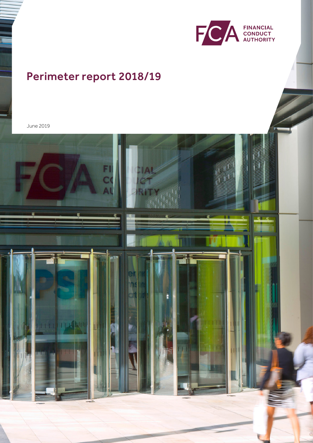

# Perimeter report 2018/19

June 2019

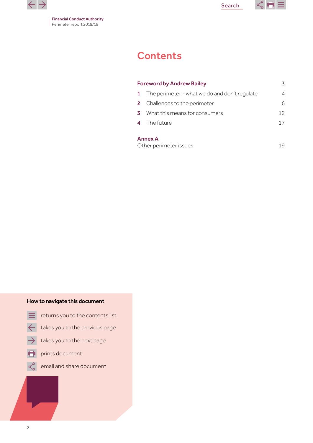

Financial Conduct Authority Perimeter report 2018/19

Search



# **Contents**

| <b>Foreword by Andrew Bailey</b><br>3 |                                               |    |
|---------------------------------------|-----------------------------------------------|----|
| -1.                                   | The perimeter - what we do and don't regulate | 4  |
|                                       | 2 Challenges to the perimeter                 | 6  |
| 3                                     | What this means for consumers                 | 12 |
|                                       | 4 The future                                  | 17 |
|                                       | <b>Annex A</b><br>Other perimeter issues      | 19 |

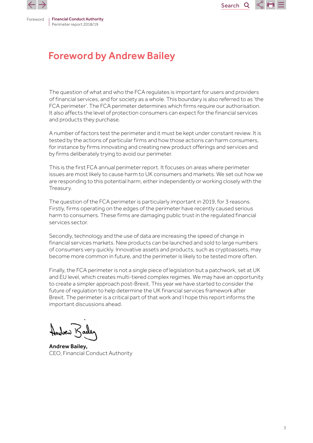<span id="page-2-0"></span>



# Foreword by Andrew Bailey

The question of what and who the FCA regulates is important for users and providers of financial services, and for society as a whole. This boundary is also referred to as 'the FCA perimeter'. The FCA perimeter determines which firms require our authorisation. It also affects the level of protection consumers can expect for the financial services and products they purchase.

A number of factors test the perimeter and it must be kept under constant review. It is tested by the actions of particular firms and how those actions can harm consumers, for instance by firms innovating and creating new product offerings and services and by firms deliberately trying to avoid our perimeter.

This is the first FCA annual perimeter report. It focuses on areas where perimeter issues are most likely to cause harm to UK consumers and markets. We set out how we are responding to this potential harm, either independently or working closely with the Treasury.

The question of the FCA perimeter is particularly important in 2019, for 3 reasons. Firstly, firms operating on the edges of the perimeter have recently caused serious harm to consumers. These firms are damaging public trust in the regulated financial services sector.

Secondly, technology and the use of data are increasing the speed of change in financial services markets. New products can be launched and sold to large numbers of consumers very quickly. Innovative assets and products, such as cryptoassets, may become more common in future, and the perimeter is likely to be tested more often.

Finally, the FCA perimeter is not a single piece of legislation but a patchwork, set at UK and EU level, which creates multi-tiered complex regimes. We may have an opportunity to create a simpler approach post-Brexit. This year we have started to consider the future of regulation to help determine the UK financial services framework after Brexit. The perimeter is a critical part of that work and I hope this report informs the important discussions ahead.

when Ko

Andrew Bailey, CEO, Financial Conduct Authority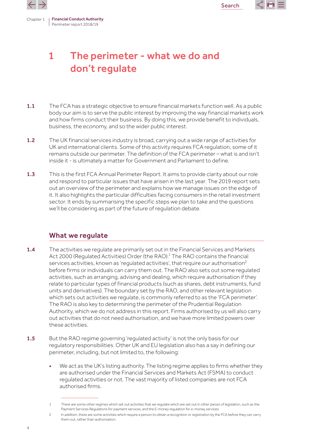

<span id="page-3-0"></span>

# 1 The perimeter - what we do and don't regulate

- 1.1 The FCA has a strategic objective to ensure financial markets function well. As a public body our aim is to serve the public interest by improving the way financial markets work and how firms conduct their business. By doing this, we provide benefit to individuals, business, the economy, and so the wider public interest.
- 1.2 The UK financial services industry is broad, carrying out a wide range of activities for UK and international clients. Some of this activity requires FCA regulation, some of it remains outside our perimeter. The definition of the FCA perimeter – what is and isn't inside it - is ultimately a matter for Government and Parliament to define.
- 1.3 This is the first FCA Annual Perimeter Report. It aims to provide clarity about our role and respond to particular issues that have arisen in the last year. The 2019 report sets out an overview of the perimeter and explains how we manage issues on the edge of it. It also highlights the particular difficulties facing consumers in the retail investment sector. It ends by summarising the specific steps we plan to take and the questions we'll be considering as part of the future of regulation debate.

# What we regulate

- **1.4** The activities we regulate are primarily set out in the Financial Services and Markets Act 2000 (Regulated Activities) Order (the RAO).<sup>1</sup> The RAO contains the financial services activities, known as 'regulated activities', that require our authorisation<sup>2</sup> before firms or individuals can carry them out. The RAO also sets out some regulated activities, such as arranging, advising and dealing, which require authorisation if they relate to particular types of financial products (such as shares, debt instruments, fund units and derivatives). The boundary set by the RAO, and other relevant legislation which sets out activities we regulate, is commonly referred to as the 'FCA perimeter'. The RAO is also key to determining the perimeter of the Prudential Regulation Authority, which we do not address in this report. Firms authorised by us will also carry out activities that do not need authorisation, and we have more limited powers over these activities.
- 1.5 But the RAO regime governing 'regulated activity' is not the only basis for our regulatory responsibilities. Other UK and EU legislation also has a say in defining our perimeter, including, but not limited to, the following:
	- We act as the UK's listing authority. The listing regime applies to firms whether they are authorised under the Financial Services and Markets Act (FSMA) to conduct regulated activities or not. The vast majority of listed companies are not FCA authorised firms.

<sup>1</sup> There are some other regimes which set out activities that we regulate which are set out in other pieces of legislation, such as the Payment Services Regulations for payment services, and the E-money regulation for e-money services

<sup>2</sup> In addition, there are some activities which require a person to obtain a recognition or registration by the FCA before they can carry them out, rather than authorisation.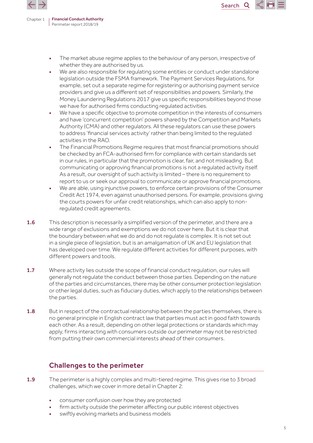

The market abuse regime applies to the behaviour of any person, irrespective of whether they are authorised by us.

**Search** 

Q

- We are also responsible for regulating some entities or conduct under standalone legislation outside the FSMA framework. The Payment Services Regulations, for example, set out a separate regime for registering or authorising payment service providers and give us a different set of responsibilities and powers. Similarly, the Money Laundering Regulations 2017 give us specific responsibilities beyond those we have for authorised firms conducting regulated activities.
- We have a specific objective to promote competition in the interests of consumers and have 'concurrent competition' powers shared by the Competition and Markets Authority (CMA) and other regulators. All these regulators can use these powers to address 'financial services activity' rather than being limited to the regulated activities in the RAO.
- The Financial Promotions Regime requires that most financial promotions should be checked by an FCA-authorised firm for compliance with certain standards set in our rules, in particular that the promotion is clear, fair, and not misleading. But communicating or approving financial promotions is not a regulated activity itself. As a result, our oversight of such activity is limited – there is no requirement to report to us or seek our approval to communicate or approve financial promotions.
- We are able, using injunctive powers, to enforce certain provisions of the Consumer Credit Act 1974, even against unauthorised persons. For example, provisions giving the courts powers for unfair credit relationships, which can also apply to nonregulated credit agreements.
- 1.6 This description is necessarily a simplified version of the perimeter, and there are a wide range of exclusions and exemptions we do not cover here. But it is clear that the boundary between what we do and do not regulate is complex. It is not set out in a single piece of legislation, but is an amalgamation of UK and EU legislation that has developed over time. We regulate different activities for different purposes, with different powers and tools.
- 1.7 Where activity lies outside the scope of financial conduct regulation, our rules will generally not regulate the conduct between those parties. Depending on the nature of the parties and circumstances, there may be other consumer protection legislation or other legal duties, such as fiduciary duties, which apply to the relationships between the parties.
- 1.8 But in respect of the contractual relationship between the parties themselves, there is no general principle in English contract law that parties must act in good faith towards each other. As a result, depending on other legal protections or standards which may apply, firms interacting with consumers outside our perimeter may not be restricted from putting their own commercial interests ahead of their consumers.

# Challenges to the perimeter

- 1.9 The perimeter is a highly complex and multi-tiered regime. This gives rise to 3 broad challenges, which we cover in more detail in Chapter 2:
	- consumer confusion over how they are protected
	- firm activity outside the perimeter affecting our public interest objectives
	- swiftly evolving markets and business models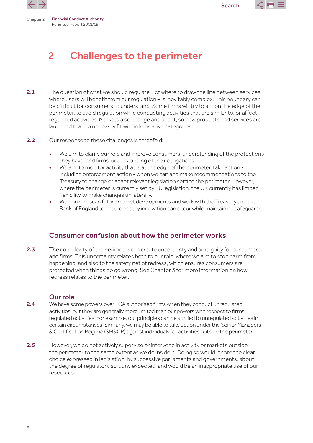

<span id="page-5-0"></span>

# 2 Challenges to the perimeter

- 2.1 The question of what we should regulate of where to draw the line between services where users will benefit from our regulation – is inevitably complex. This boundary can be difficult for consumers to understand. Some firms will try to act on the edge of the perimeter, to avoid regulation while conducting activities that are similar to, or affect, regulated activities. Markets also change and adapt, so new products and services are launched that do not easily fit within legislative categories.
- 2.2 Our response to these challenges is threefold:
	- We aim to clarify our role and improve consumers' understanding of the protections they have, and firms' understanding of their obligations.
	- We aim to monitor activity that is at the edge of the perimeter, take action including enforcement action - when we can and make recommendations to the Treasury to change or adapt relevant legislation setting the perimeter. However, where the perimeter is currently set by EU legislation, the UK currently has limited flexibility to make changes unilaterally.
	- We horizon-scan future market developments and work with the Treasury and the Bank of England to ensure heathy innovation can occur while maintaining safeguards.

# Consumer confusion about how the perimeter works

2.3 The complexity of the perimeter can create uncertainty and ambiguity for consumers and firms. This uncertainty relates both to our role, where we aim to stop harm from happening, and also to the safety net of redress, which ensures consumers are protected when things do go wrong. See Chapter 3 for more information on how redress relates to the perimeter.

#### Our role

- 2.4 We have some powers over FCA authorised firms when they conduct unregulated activities, but they are generally more limited than our powers with respect to firms' regulated activities. For example, our principles can be applied to unregulated activities in certain circumstances. Similarly, we may be able to take action under the Senior Managers &Certification Regime (SM&CR) againstindividuals for activities outside the perimeter.
- 2.5 However, we do not actively supervise or intervene in activity or markets outside the perimeter to the same extent as we do inside it. Doing so would ignore the clear choice expressed in legislation, by successive parliaments and governments, about the degree of regulatory scrutiny expected, and would be an inappropriate use of our resources.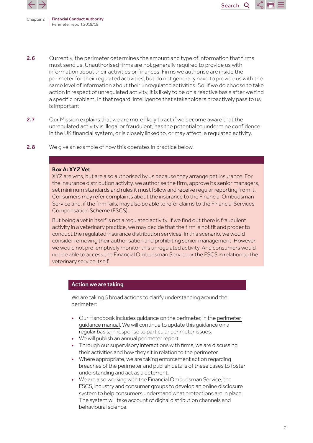



2.6 Currently, the perimeter determines the amount and type of information that firms must send us. Unauthorised firms are not generally required to provide us with information about their activities or finances. Firms we authorise are inside the perimeter for their regulated activities, but do not generally have to provide us with the same level of information about their unregulated activities. So, if we do choose to take action in respect of unregulated activity, it is likely to be on a reactive basis after we find a specific problem. In that regard, intelligence that stakeholders proactively pass to us is important.

Search

 $\mathbf{O}$ 

- 2.7 Our Mission explains that we are more likely to act if we become aware that the unregulated activity is illegal or fraudulent, has the potential to undermine confidence in the UK financial system, or is closely linked to, or may affect, a regulated activity.
- 2.8 We give an example of how this operates in practice below.

#### Box A: XYZ Vet

XYZ are vets, but are also authorised by us because they arrange pet insurance. For the insurance distribution activity, we authorise the firm, approve its senior managers, set minimum standards and rules it must follow and receive regular reporting from it. Consumers may refer complaints about the insurance to the Financial Ombudsman Service and, if the firm fails, may also be able to refer claims to the Financial Services Compensation Scheme (FSCS).

But being a vet in itself is not a regulated activity. If we find out there is fraudulent activity in a veterinary practice, we may decide that the firm is not fit and proper to conduct the regulated insurance distribution services. In this scenario, we would consider removing their authorisation and prohibiting senior management. However, we would not pre-emptively monitor this unregulated activity. And consumers would not be able to access the Financial Ombudsman Service or the FSCS in relation to the veterinary service itself.

#### Action we are taking

We are taking 5 broad actions to clarify understanding around the perimeter:

- Our Handbook includes guidance on the perimeter, in the [perimeter](https://www.handbook.fca.org.uk/handbook/PERG.pdf)  [guidance](https://www.handbook.fca.org.uk/handbook/PERG.pdf) manual. We will continue to update this guidance on a regular basis, in response to particular perimeter issues.
- We will publish an annual perimeter report.
- Through our supervisory interactions with firms, we are discussing their activities and how they sit in relation to the perimeter.
- Where appropriate, we are taking enforcement action regarding breaches of the perimeter and publish details of these cases to foster understanding and act as a deterrent.
- We are also working with the Financial Ombudsman Service, the FSCS, industry and consumer groups to develop an online disclosure system to help consumers understand what protections are in place. The system will take account of digital distribution channels and behavioural science.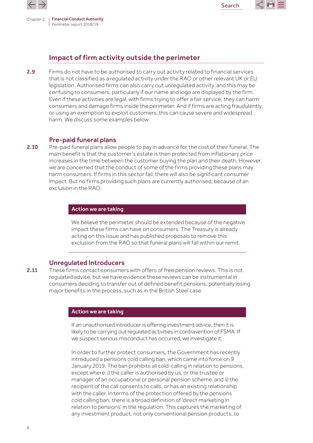



# Impact of firm activity outside the perimeter

2.9 Firms do not have to be authorised to carry out activity related to financial services that is not classified as a regulated activity under the RAO or other relevant UK or EU legislation. Authorised firms can also carry out unregulated activity, and this may be confusing to consumers, particularly if our name and logo are displayed by the firm. Even if these activities are legal, with firms trying to offer a fair service, they can harm consumers and damage firms inside the perimeter. And if firms are acting fraudulently, or using an exemption to exploit customers, this can cause severe and widespread harm. We discuss some examples below:

#### Pre-paid funeral plans

2.10 Pre-paid funeral plans allow people to pay in advance for the cost of their funeral. The main benefit is that the customer's estate is then protected from inflationary price increases in the time between the customer buying the plan and their death. However, we are concerned that the conduct of some of the firms providing these plans may harm consumers. If firms in this sector fail, there will also be significant consumer impact. But no firms providing such plans are currently authorised, because of an exclusion in the RAO.

#### Action we are taking

We believe the perimeter should be extended because of the negative impact these firms can have on consumers. The Treasury is already acting on this issue and has published proposals to remove this exclusion from the RAO so that funeral plans will fall within our remit.

#### Unregulated Introducers

2.11 These firms contact consumers with offers of free pension reviews. This is not regulated advice, but we have evidence these reviews can be instrumental in consumers deciding to transfer out of defined benefit pensions, potentially losing major benefits in the process, such as in the British Steel case.

#### Action we are taking

If an unauthorised introducer is offering investment advice, then it is likely to be carrying out regulated activities in contravention of FSMA. If we suspect serious misconduct has occurred, we investigate it.

In order to further protect consumers, the Government has recently introduced a pensions cold calling ban, which came into force on 9 January 2019. The ban prohibits all cold-calling in relation to pensions, except where: i) the caller is authorised by us, or the trustee or manager of an occupational or personal pension scheme, and ii) the recipient of the call consents to calls, or has an existing relationship with the caller. In terms of the protection offered by the pensions cold calling ban, there is a broad definition of 'direct marketing in relation to pensions' in the regulation. This captures the marketing of any investment product, not only conventional pension products, to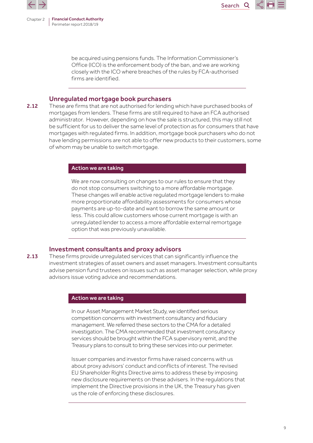

be acquired using pensions funds. The Information Commissioner's Office (ICO) is the enforcement body of the ban, and we are working closely with the ICO where breaches of the rules by FCA-authorised firms are identified.

Search

#### Unregulated mortgage book purchasers

2.12 These are firms that are not authorised for lending which have purchased books of mortgages from lenders. These firms are still required to have an FCA authorised administrator. However, depending on how the sale is structured, this may still not be sufficient for us to deliver the same level of protection as for consumers that have mortgages with regulated firms. In addition, mortgage book purchasers who do not have lending permissions are not able to offer new products to their customers, some of whom may be unable to switch mortgage.

#### Action we are taking

We are now consulting on changes to our rules to ensure that they do not stop consumers switching to a more affordable mortgage. These changes will enable active regulated mortgage lenders to make more proportionate affordability assessments for consumers whose payments are up-to-date and want to borrow the same amount or less. This could allow customers whose current mortgage is with an unregulated lender to access a more affordable external remortgage option that was previously unavailable.

#### Investment consultants and proxy advisors

2.13 These firms provide unregulated services that can significantly influence the investment strategies of asset owners and asset managers. Investment consultants advise pension fund trustees on issues such as asset manager selection, while proxy advisors issue voting advice and recommendations.

#### Action we are taking

In our Asset Management Market Study, we identified serious competition concerns with investment consultancy and fiduciary management. We referred these sectors to the CMA for a detailed investigation. The CMA recommended that investment consultancy services should be brought within the FCA supervisory remit, and the Treasury plans to consult to bring these services into our perimeter.

Issuer companies and investor firms have raised concerns with us about proxy advisors' conduct and conflicts of interest. The revised EU Shareholder Rights Directive aims to address these by imposing new disclosure requirements on these advisers. In the regulations that implement the Directive provisions in the UK, the Treasury has given us the role of enforcing these disclosures.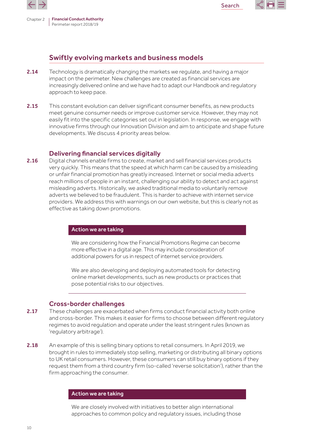

Chapter 2 | Financial Conduct Authority Perimeter report 2018/19



### Swiftly evolving markets and business models

- 2.14 Technology is dramatically changing the markets we regulate, and having a major impact on the perimeter. New challenges are created as financial services are increasingly delivered online and we have had to adapt our Handbook and regulatory approach to keep pace.
- 2.15 This constant evolution can deliver significant consumer benefits, as new products meet genuine consumer needs or improve customer service. However, they may not easily fit into the specific categories set out in legislation. In response, we engage with innovative firms through our Innovation Division and aim to anticipate and shape future developments. We discuss 4 priority areas below.

#### Delivering financial services digitally

2.16 Digital channels enable firms to create, market and sell financial services products very quickly. This means that the speed at which harm can be caused by a misleading or unfair financial promotion has greatly increased. Internet or social media adverts reach millions of people in an instant, challenging our ability to detect and act against misleading adverts. Historically, we asked traditional media to voluntarily remove adverts we believed to be fraudulent. This is harder to achieve with internet service providers. We address this with warnings on our own website, but this is clearly not as effective as taking down promotions.

#### Action we are taking

We are considering how the Financial Promotions Regime can become more effective in a digital age. This may include consideration of additional powers for us in respect of internet service providers.

We are also developing and deploying automated tools for detecting online market developments, such as new products or practices that pose potential risks to our objectives.

#### Cross-border challenges

- 2.17 These challenges are exacerbated when firms conduct financial activity both online and cross-border. This makes it easier for firms to choose between different regulatory regimes to avoid regulation and operate under the least stringent rules (known as 'regulatory arbitrage').
- 2.18 An example of this is selling binary options to retail consumers. In April 2019, we brought in rules to immediately stop selling, marketing or distributing all binary options to UK retail consumers. However, these consumers can still buy binary options if they request them from a third country firm (so-called 'reverse solicitation'), rather than the firm approaching the consumer.

#### Action we are taking

We are closely involved with initiatives to better align international approaches to common policy and regulatory issues, including those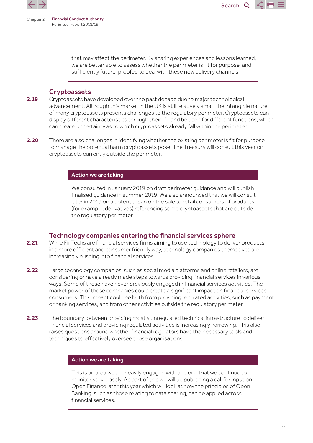



that may affect the perimeter. By sharing experiences and lessons learned, we are better able to assess whether the perimeter is fit for purpose, and sufficiently future-proofed to deal with these new delivery channels.

#### **Cryptoassets**

- 2.19 Cryptoassets have developed over the past decade due to major technological advancement. Although this market in the UK is still relatively small, the intangible nature of many cryptoassets presents challenges to the regulatory perimeter. Cryptoassets can display different characteristics through their life and be used for different functions, which can create uncertainty as to which cryptoassets already fall within the perimeter.
- 2.20 There are also challenges in identifying whether the existing perimeter is fit for purpose to manage the potential harm cryptoassets pose. The Treasury will consult this year on cryptoassets currently outside the perimeter.

#### Action we are taking

We consulted in January 2019 on draft perimeter guidance and will publish finalised guidance in summer 2019. We also announced that we will consult later in 2019 on a potential ban on the sale to retail consumers of products (for example, derivatives) referencing some cryptoassets that are outside the regulatory perimeter.

#### Technology companies entering the financial services sphere

- 2.21 While FinTechs are financial services firms aiming to use technology to deliver products in a more efficient and consumer friendly way, technology companies themselves are increasingly pushing into financial services.
- 2.22 Large technology companies, such as social media platforms and online retailers, are considering or have already made steps towards providing financial services in various ways. Some of these have never previously engaged in financial services activities. The market power of these companies could create a significant impact on financial services consumers. This impact could be both from providing regulated activities, such as payment or banking services, and from other activities outside the regulatory perimeter.
- 2.23 The boundary between providing mostly unregulated technical infrastructure to deliver financial services and providing regulated activities is increasingly narrowing. This also raises questions around whether financial regulators have the necessary tools and techniques to effectively oversee those organisations.

#### Action we are taking

This is an area we are heavily engaged with and one that we continue to monitor very closely. As part of this we will be publishing a call for input on Open Finance later this year which will look at how the principles of Open Banking, such as those relating to data sharing, can be applied across financial services.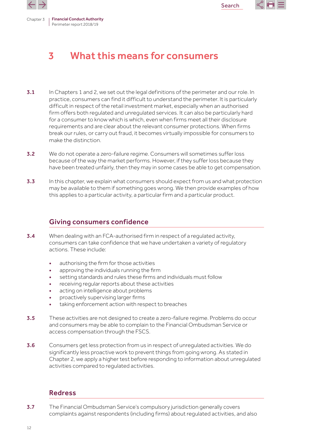

<span id="page-11-0"></span>

Chapter 3 | Financial Conduct Authority Perimeter report 2018/19

# 3 What this means for consumers

- 3.1 In Chapters 1 and 2, we set out the legal definitions of the perimeter and our role. In practice, consumers can find it difficult to understand the perimeter. It is particularly difficult in respect of the retail investment market, especially when an authorised firm offers both regulated and unregulated services. It can also be particularly hard for a consumer to know which is which, even when firms meet all their disclosure requirements and are clear about the relevant consumer protections. When firms break our rules, or carry out fraud, it becomes virtually impossible for consumers to make the distinction.
- 3.2 We do not operate a zero-failure regime. Consumers will sometimes suffer loss because of the way the market performs. However, if they suffer loss because they have been treated unfairly, then they may in some cases be able to get compensation.
- 3.3 In this chapter, we explain what consumers should expect from us and what protection may be available to them if something goes wrong. We then provide examples of how this applies to a particular activity, a particular firm and a particular product.

### Giving consumers confidence

- 3.4 When dealing with an FCA-authorised firm in respect of a regulated activity, consumers can take confidence that we have undertaken a variety of regulatory actions. These include:
	- authorising the firm for those activities
	- approving the individuals running the firm
	- setting standards and rules these firms and individuals must follow
	- receiving regular reports about these activities
	- acting on intelligence about problems
	- proactively supervising larger firms
	- taking enforcement action with respect to breaches
- **3.5** These activities are not designed to create a zero-failure regime. Problems do occur and consumers may be able to complain to the Financial Ombudsman Service or access compensation through the FSCS.
- 3.6 Consumers get less protection from us in respect of unregulated activities. We do significantly less proactive work to prevent things from going wrong. As stated in Chapter 2, we apply a higher test before responding to information about unregulated activities compared to regulated activities.

### Redress

3.7 The Financial Ombudsman Service's compulsory jurisdiction generally covers complaints against respondents (including firms) about regulated activities, and also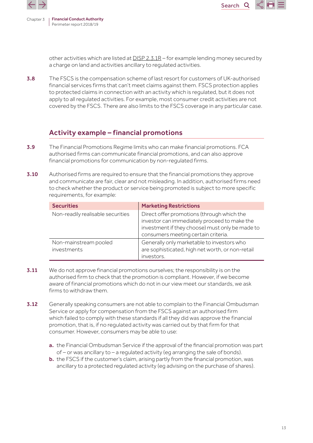



**Search** 

other activities which are listed at DISP [2.3.1R](https://www.handbook.fca.org.uk/handbook/DISP/2/3.html) – for example lending money secured by a charge on land and activities ancillary to regulated activities.

3.8 The FSCS is the compensation scheme of last resort for customers of UK-authorised financial services firms that can't meet claims against them. FSCS protection applies to protected claims in connection with an activity which is regulated, but it does not apply to all regulated activities. For example, most consumer credit activities are not covered by the FSCS. There are also limits to the FSCS coverage in any particular case.

### Activity example – financial promotions

- **3.9** The Financial Promotions Regime limits who can make financial promotions. FCA authorised firms can communicate financial promotions, and can also approve financial promotions for communication by non-regulated firms.
- **3.10** Authorised firms are required to ensure that the financial promotions they approve and communicate are fair, clear and not misleading. In addition, authorised firms need to check whether the product or service being promoted is subject to more specific requirements, for example:

| <b>Securities</b>                    | <b>Marketing Restrictions</b>                                                                                                                                                        |
|--------------------------------------|--------------------------------------------------------------------------------------------------------------------------------------------------------------------------------------|
| Non-readily realisable securities    | Direct offer promotions (through which the<br>investor can immediately proceed to make the<br>investment if they choose) must only be made to<br>consumers meeting certain criteria. |
| Non-mainstream pooled<br>investments | Generally only marketable to investors who<br>are sophisticated, high net worth, or non-retail<br>investors.                                                                         |

- **3.11** We do not approve financial promotions ourselves; the responsibility is on the authorised firm to check that the promotion is compliant. However, if we become aware of financial promotions which do not in our view meet our standards, we ask firms to withdraw them.
- **3.12** Generally speaking consumers are not able to complain to the Financial Ombudsman Service or apply for compensation from the FSCS against an authorised firm which failed to comply with these standards if all they did was approve the financial promotion, that is, if no regulated activity was carried out by that firm for that consumer. However, consumers may be able to use:
	- a. the Financial Ombudsman Service if the approval of the financial promotion was part of – or was ancillary to – a regulated activity (eg arranging the sale of bonds).
	- b. the FSCS if the customer's claim, arising partly from the financial promotion, was ancillary to a protected regulated activity (eg advising on the purchase of shares).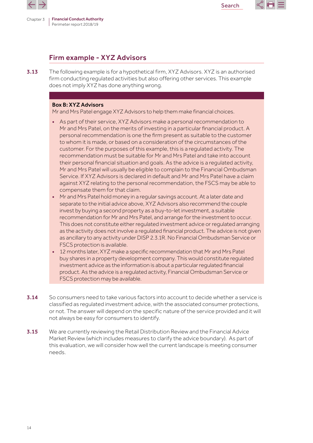



# Firm example - XYZ Advisors

3.13 The following example is for a hypothetical firm, XYZ Advisors. XYZ is an authorised firm conducting regulated activities but also offering other services. This example does not imply XYZ has done anything wrong.

#### Box B: XYZ Advisors

Mr and Mrs Patel engage XYZ Advisors to help them make financial choices.

- As part of their service, XYZ Advisors make a personal recommendation to Mr and Mrs Patel, on the merits of investing in a particular financial product. A personal recommendation is one the firm present as suitable to the customer to whom it is made, or based on a consideration of the circumstances of the customer. For the purposes of this example, this is a regulated activity. The recommendation must be suitable for Mr and Mrs Patel and take into account their personal financial situation and goals. As the advice is a regulated activity, Mr and Mrs Patel will usually be eligible to complain to the Financial Ombudsman Service. If XYZ Advisors is declared in default and Mr and Mrs Patel have a claim against XYZ relating to the personal recommendation, the FSCS may be able to compensate them for that claim.
- Mr and Mrs Patel hold money in a regular savings account. At a later date and separate to the initial advice above, XYZ Advisors also recommend the couple invest by buying a second property as a buy-to-let investment, a suitable recommendation for Mr and Mrs Patel, and arrange for the investment to occur. This does not constitute either regulated investment advice or regulated arranging as the activity does not involve a regulated financial product. The advice is not given as ancillary to any activity under DISP 2.3.1R. No Financial Ombudsman Service or FSCS protection is available.
- 12 months later, XYZ make a specific recommendation that Mr and Mrs Patel buy shares in a property development company. This would constitute regulated investment advice as the information is about a particular regulated financial product. As the advice is a regulated activity, Financial Ombudsman Service or FSCS protection may be available.
- 3.14 So consumers need to take various factors into account to decide whether a service is classified as regulated investment advice, with the associated consumer protections, or not. The answer will depend on the specific nature of the service provided and it will not always be easy for consumers to identify.
- **3.15** We are currently reviewing the Retail Distribution Review and the Financial Advice Market Review (which includes measures to clarify the advice boundary). As part of this evaluation, we will consider how well the current landscape is meeting consumer needs.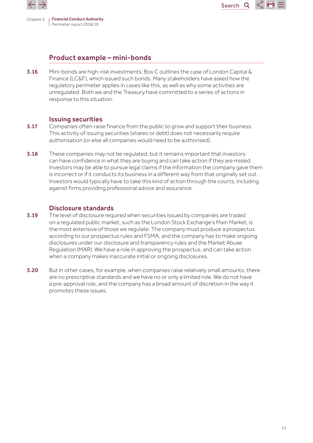

Chapter 3 | Financial Conduct Authority Perimeter report 2018/19

Search $\Omega$ 

# Product example – mini-bonds

3.16 Mini-bonds are high-risk investments. Box C outlines the case of London Capital & Finance (LC&F), which issued such bonds. Many stakeholders have asked how the regulatory perimeter applies in cases like this, as well as why some activities are unregulated. Both we and the Treasury have committed to a series of actions in response to this situation.

#### Issuing securities

- **3.17** Companies often raise finance from the public to grow and support their business. This activity of issuing securities (shares or debt) does not necessarily require authorisation (or else all companies would need to be authorised).
- 3.18 These companies may not be regulated, but it remains important that investors can have confidence in what they are buying and can take action if they are misled. Investors may be able to pursue legal claims if the information the company gave them is incorrect or if it conducts its business in a different way from that originally set out. Investors would typically have to take this kind of action through the courts, including against firms providing professional advice and assurance.

### Disclosure standards

- **3.19** The level of disclosure required when securities issued by companies are traded on a regulated public market, such as the London Stock Exchange's Main Market, is the most extensive of those we regulate. The company must produce a prospectus according to our prospectus rules and FSMA, and the company has to make ongoing disclosures under our disclosure and transparency rules and the Market Abuse Regulation (MAR). We have a role in approving the prospectus, and can take action when a company makes inaccurate initial or ongoing disclosures.
- 3.20 But in other cases, for example, when companies raise relatively small amounts, there are no prescriptive standards and we have no or only a limited role. We do not have a pre-approval role, and the company has a broad amount of discretion in the way it promotes these issues.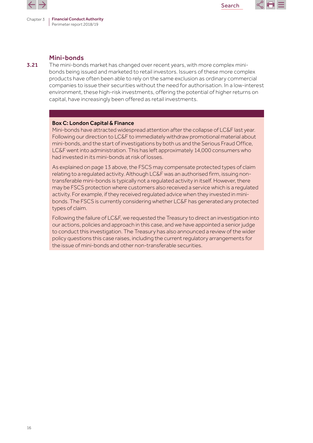



#### Mini-bonds

**3.21** The mini-bonds market has changed over recent years, with more complex minibonds being issued and marketed to retail investors. Issuers of these more complex products have often been able to rely on the same exclusion as ordinary commercial companies to issue their securities without the need for authorisation. In a low-interest environment, these high-risk investments, offering the potential of higher returns on capital, have increasingly been offered as retail investments.

#### Box C: London Capital & Finance

Mini-bonds have attracted widespread attention after the collapse of LC&F last year. Following our direction to LC&F to immediately withdraw promotional material about mini-bonds, and the start of investigations by both us and the Serious Fraud Office, LC&F went into administration. This has left approximately 14,000 consumers who had invested in its mini-bonds at risk of losses.

As explained on page 13 above, the FSCS may compensate protected types of claim relating to a regulated activity. Although LC&F was an authorised firm, issuing nontransferable mini-bonds is typically not a regulated activity in itself. However, there may be FSCS protection where customers also received a service which is a regulated activity. For example, if they received regulated advice when they invested in minibonds. The FSCS is currently considering whether LC&F has generated any protected types of claim.

Following the failure of LC&F, we requested the Treasury to direct an investigation into our actions, policies and approach in this case, and we have appointed a senior judge to conduct this investigation. The Treasury has also announced a review of the wider policy questions this case raises, including the current regulatory arrangements for the issue of mini-bonds and other non-transferable securities.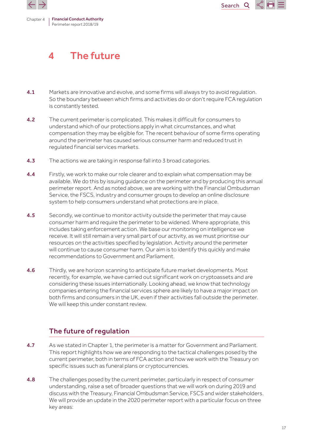<span id="page-16-0"></span>



# 4 The future

- 4.1 Markets are innovative and evolve, and some firms will always try to avoid regulation. So the boundary between which firms and activities do or don't require FCA regulation is constantly tested.
- 4.2 The current perimeter is complicated. This makes it difficult for consumers to understand which of our protections apply in what circumstances, and what compensation they may be eligible for. The recent behaviour of some firms operating around the perimeter has caused serious consumer harm and reduced trust in regulated financial services markets.
- **4.3** The actions we are taking in response fall into 3 broad categories.
- 4.4 Firstly, we work to make our role clearer and to explain what compensation may be available. We do this by issuing guidance on the perimeter and by producing this annual perimeter report. And as noted above, we are working with the Financial Ombudsman Service, the FSCS, industry and consumer groups to develop an online disclosure system to help consumers understand what protections are in place.
- 4.5 Secondly, we continue to monitor activity outside the perimeter that may cause consumer harm and require the perimeter to be widened. Where appropriate, this includes taking enforcement action. We base our monitoring on intelligence we receive. It will still remain a very small part of our activity, as we must prioritise our resources on the activities specified by legislation. Activity around the perimeter will continue to cause consumer harm. Our aim is to identify this quickly and make recommendations to Government and Parliament.
- **4.6** Thirdly, we are horizon scanning to anticipate future market developments. Most recently, for example, we have carried out significant work on cryptoassets and are considering these issues internationally. Looking ahead, we know that technology companies entering the financial services sphere are likely to have a major impact on both firms and consumers in the UK, even if their activities fall outside the perimeter. We will keep this under constant review.

# The future of regulation

- 4.7 As we stated in Chapter 1, the perimeter is a matter for Government and Parliament. This report highlights how we are responding to the tactical challenges posed by the current perimeter, both in terms of FCA action and how we work with the Treasury on specific issues such as funeral plans or cryptocurrencies.
- 4.8 The challenges posed by the current perimeter, particularly in respect of consumer understanding, raise a set of broader questions that we will work on during 2019 and discuss with the Treasury, Financial Ombudsman Service, FSCS and wider stakeholders. We will provide an update in the 2020 perimeter report with a particular focus on three key areas: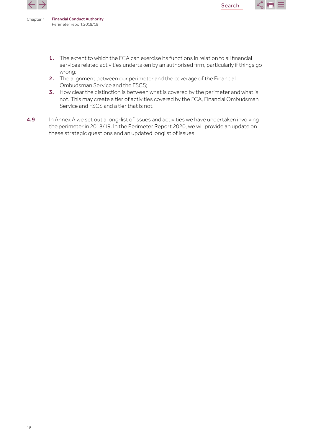

1. The extent to which the FCA can exercise its functions in relation to all financial services related activities undertaken by an authorised firm, particularly if things go wrong;

Search

- 2. The alignment between our perimeter and the coverage of the Financial Ombudsman Service and the FSCS;
- 3. How clear the distinction is between what is covered by the perimeter and what is not. This may create a tier of activities covered by the FCA, Financial Ombudsman Service and FSCS and a tier that is not
- 4.9 In Annex A we set out a long-list of issues and activities we have undertaken involving the perimeter in 2018/19. In the Perimeter Report 2020, we will provide an update on these strategic questions and an updated longlist of issues.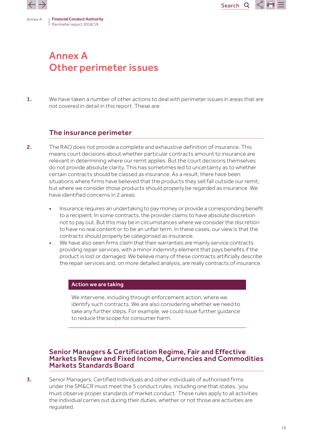Search $\mathbf Q$ 

<span id="page-18-0"></span>

# Annex A Other perimeter issues

1. We have taken a number of other actions to deal with perimeter issues in areas that are not covered in detail in this report. These are:

### The insurance perimeter

- 2. The RAO does not provide a complete and exhaustive definition of insurance. This means court decisions about whether particular contracts amount to insurance are relevant in determining where our remit applies. But the court decisions themselves do not provide absolute clarity. This has sometimes led to uncertainty as to whether certain contracts should be classed as insurance. As a result, there have been situations where firms have believed that the products they sell fall outside our remit, but where we consider those products should properly be regarded as insurance. We have identified concerns in 2 areas:
	- Insurance requires an undertaking to pay money or provide a corresponding benefit to a recipient. In some contracts, the provider claims to have absolute discretion not to pay out. But this may be in circumstances where we consider the discretion to have no real content or to be an unfair term. In these cases, our view is that the contracts should properly be categorised as insurance.
	- We have also seen firms claim that their warranties are mainly service contracts providing repair services, with a minor indemnity element that pays benefits if the product is lost or damaged. We believe many of these contracts artificially describe the repair services and, on more detailed analysis, are really contracts of insurance.

#### Action we are taking

We intervene, including through enforcement action, where we identify such contracts. We are also considering whether we need to take any further steps. For example, we could issue further guidance to reduce the scope for consumer harm.

### Senior Managers & Certification Regime, Fair and Effective Markets Review and Fixed Income, Currencies and Commodities Markets Standards Board

3. Senior Managers, Certified Individuals and other individuals of authorised firms under the SM&CR must meet the 5 conduct rules, including one that states, 'you must observe proper standards of market conduct.' These rules apply to all activities the individual carries out during their duties, whether or not those are activities are regulated.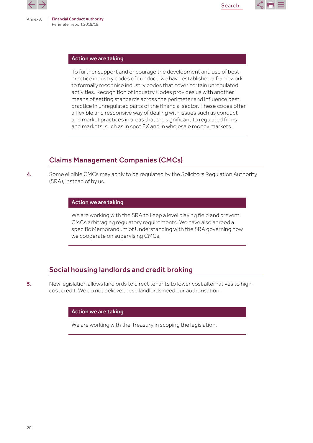



#### Action we are taking

To further support and encourage the development and use of best practice industry codes of conduct, we have established a framework to formally recognise industry codes that cover certain unregulated activities. Recognition of Industry Codes provides us with another means of setting standards across the perimeter and influence best practice in unregulated parts of the financial sector. These codes offer a flexible and responsive way of dealing with issues such as conduct and market practices in areas that are significant to regulated firms and markets, such as in spot FX and in wholesale money markets.

# Claims Management Companies (CMCs)

4. Some eligible CMCs may apply to be regulated by the Solicitors Regulation Authority (SRA), instead of by us.

#### Action we are taking

We are working with the SRA to keep a level playing field and prevent CMCs arbitraging regulatory requirements. We have also agreed a specific Memorandum of Understanding with the SRA governing how we cooperate on supervising CMCs.

# Social housing landlords and credit broking

5. New legislation allows landlords to direct tenants to lower cost alternatives to highcost credit. We do not believe these landlords need our authorisation.

#### Action we are taking

We are working with the Treasury in scoping the legislation.